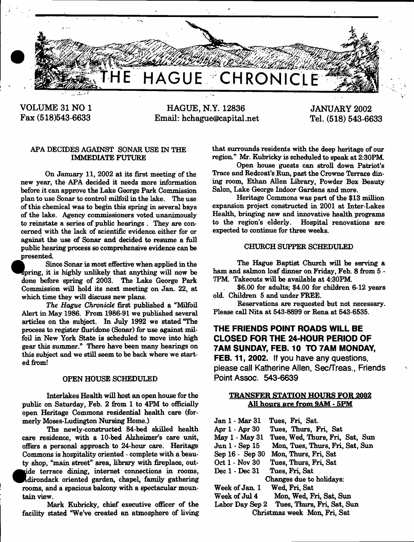

VOLUME 31 NO 1 Fax (518)543-6633

HAGUE, N.Y. 12836 Email: hchague@capital.net JANUARY 2002 Tel. (518) 543-6633

## **APA DECIDES AGAINST SONAR USE IN THE IMMEDIATE FUTURE**

**On January 11, 2002 at its first meeting of the new year, the APA decided it needs more information before it can approve the Lake George Park Commission plan to use Sonar to control milfoil in the lake. The use of this chemical was to begin this spring in several bays of the lake. Agency commissioners voted unanimously to reinstate a series of public hearings . They are concerned with the lack of scientific evidence, either for or against the use of Sonar and decided to resume a full public hearing process so comprehensive evidence can be presented.**

**Since Sonar is most effective when applied in the ^Apring, it is highly unlikely that anything will now be done before spring of 2003. The Lake George Park Commission will hold its next meeting on Jan. 22, at which time they will discuss new plans.**

*The Hague Chronicle* **first published a "Milfoil Alert in May 1986. From 1986-91 we published several articles on the subject. In July 1992 we stated "The process to register fluridone (Sonar) for use against milfoil in New York State is scheduled to move into high gear this summer." There have been many hearings on this subject and we still seem to be back where we started from!**

### **OPEN HOUSE SCHEDULED**

**Inter lakes Health will host an open house for the public on Saturday, Feb. 2 from 1 to 4PM to officially open Heritage Commons residential health care (formerly Moses-Ludington Nursing Home.)**

**The newly-constructed 84-bed skilled health care residence, with a 10-bed Alzheimer's care unit, offers a personal approach to 24-hour care. Heritage Commons is hospitality oriented - complete with a beauty shop, "main street" area, library with fireplace, out** ride terrace dining, internet connections in rooms, **^Adirondack oriented garden, chapel, family gathering rooms, and a spacious balcony with a spectacular mountain view.**

**Mark Kubricky, chief executive officer of the facility stated "We've created an atmosphere of living** **that surrounds residents with the deep heritage of our region." Mr. Kubricky is scheduled to speak at 2:30PM**

**Open house guests can stroll down Patriot's Trace and Redcoat's Run, past the Crowne Terrace dining room, Ethan Allen Library, Powder Box Beauty Salon, Lake George Indoor Gardens and more.**

**Heritage Commons was part of the \$13 million expansion project constructed in 2001 at Inter-Lakes Health, bringing new and innovative health programs to the region's elderly. Hospital renovations are expected to continue for three weeks.**

### **CHURCH SUPPER SCHEDULED**

**The Hague Baptist Church will be serving a ham and salmon loaf dinner on Friday, Feb. 8 from 5 -** 7PM. Takeouts will be available at 4:30PM.

**\$6.00 for adults; \$4.00 for children 6-12 years old. Children 5 and under FREE.**

**Reservations are requested but not necessary. Please call Nita at 543-8899 or Rena at 543-6535.**

# **THE FRIENDS POINT ROADS WILL BE CLOSED FOR THE 24-HOUR PERIOD OF 7AM SUNDAY, FEB. 10 TO 7AM MONDAY, FEB. 11, 2002.** If you have any questions,

please call Katherine Allen, Sec/Treas., Friends Point Assoc. 543-6639

## TRANSFER STATION HOURS FOR 2002 All hours are from 9AM - 5PM

| Jan 1 - Mar 31               | Tues, Fri, Sat.                            |
|------------------------------|--------------------------------------------|
| Apr 1 - Apr 30               | Tues, Thurs, Fri, Sat                      |
| May 1 - May 31               | Tues, Wed, Thurs, Fri, Sat, Sun            |
| Jun 1 - Sep 15               | Mon, Tues, Thurs, Fri, Sat, Sun            |
| Sep 16 - Sep 30              | Mon, Thurs, Fri, Sat                       |
| Oct 1 - Nov 30               | Tues, Thurs, Fri, Sat                      |
| Dec $1 - Dec 31$             | Tues, Fri, Sat                             |
| Changes due to holidays:     |                                            |
| Week of Jan. 1               | Wed, Fri, Sat                              |
| Week of Jul 4                | Mon, Wed, Fri, Sat, Sun                    |
|                              | Labor Day Sep 2 Tues, Thurs, Fri, Sat, Sun |
| Christmas week Mon, Fri, Sat |                                            |
|                              |                                            |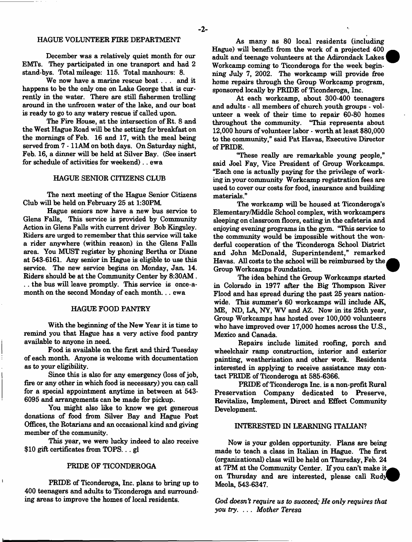**December was a relatively quiet month for our EMTs. They participated in one transport and had 2 stand-bys. Total mileage: 115. Total manhours: 8.**

**We now have a marine rescue boat . . . and it happens to be the only one on Lake George that is currently in the water. There are still fishermen trolling around in the unfrozen water of the lake, and our boat is ready to go to any watery rescue if called upon.**

**The Fire House, at the intersection of Rt. 8 and the West Hague Road will be the setting for breakfast on the mornings of Feb. 16 and 17, with the meal being served from 7 -1 1AM on both days. On Saturday night, Feb. 16, a dinner will be held at Silver Bay. (See insert for schedule of activities for weekend).. ewa**

### **HAGUE SENIOR CITIZENS CLUB**

**The next meeting of the Hague Senior Citizens Club will be held on February 25 at 1:30PM**

**Hague seniors now have a new bus service to Glens Falls, This service is provided by Community Action in Glens Falls with current driver Bob Kingsley. Riders are urged to remember that this service will take a rider anywhere (within reason) in the Glens Falls area. You MUST register by phoning Bertha or Diane at 543-6161. Any senior in Hague is eligible to use this service. The new service begins on Monday, Jan. 14. Riders should be at the Community Center by 8:30AM. .. the bus will leave promptly. This service is once-amonth on the second Monday of each month... ewa**

### **HAGUE FOOD PANTRY**

**With the beginning of the New Year it is time to remind you that Hague has a very active food pantry available to anyone in need.**

**Food is available on the first and third Tuesday of each month. Anyone is welcome with documentation as to your eligibility.**

**Since this is also for any emergency (loss of job, fire or any other in which food is necessary) you can call for a special appointment anytime in between at 543- 6095 and arrangements can be made for pickup.**

**You might also like to know we get generous donations of food from Silver Bay and Hague Post Offices, the Rotarians and an occasional kind and giving member of the community.**

**This year, we were lucky indeed to also receive \$10 gift certificates from TOPS.. . gl**

### **PRIDE OF TICONDEROGA**

**PRIDE of Ticonderoga, Inc. plans to bring up to 400 teenagers and adults to Ticonderoga and surrounding areas to improve the homes of local residents.**

**As many as 80 local residents (including Hague) will benefit from the work of a projected 400 adult and teenage volunteers at the Adirondack Lakes Workcamp coming to Ticonderoga for the week beginning July 7, 2002. The workcamp will provide free home repairs through the Group Workcamp program, sponsored locally by PRIDE of Ticonderoga, Inc.**

**At each workcamp, about 300-400 teenagers and adults - all members of church youth groups - volunteer a week of their time to repair 60-80 homes throughout the community. "This represents about 12,000 hours of volunteer labor - worth at least \$80,000 to the community," said Pat Havas, Executive Director of PRIDE.**

**"These really are remarkable young people," said Joel Fay, Vice President of Group Workcamps. "Each one is actually paying for the privilege of working in your community Workcamp registration fees are used to cover our costs for food, insurance and building materials."**

**The workcamp will be housed at Ticonderoga's Elementary/Middle School complex, with workcampers sleeping on classroom floors, eating in the cafeteria and eryoying evening programs in the gym. "This service to the community would be impossible without the wonderful cooperation of the Ticonderoga School District and John McDonald, Superintendent," remarked Havas. All costs to the school will be reimbursed by the, Group Workcamps Foundation.**

**The idea behind the Group Workcamps started in Colorado in 1977 after the Big Thompson River Flood and has spread during the past 25 years nationwide. This summer's 60 workcamps will include AK, ME, ND, LA, NY, WV and AZ. Now in its 25th year, Group Workcamps has hosted over 100,000 volunteers who have improved over 17,000 homes across the U.S., Mexico and Canada.**

**Repairs include limited roofing, porch and wheelchair ramp construction, interior and exterior painting, weatherization and other work. Residents interested in applying to receive assistance may contact PRIDE of Ticonderoga at 585-6366.**

**PRIDE of Ticonderoga Inc. is a non-profit Rural Preservation Company dedicated to Preserve, Revitalize, Implement, Direct and Effect Community Development.**

#### **INTERESTED IN LEARNING ITALIAN?**

**Now is your golden opportunity. Plans are being** made to teach a class in Italian in Hague. The first **(organizational) class will be held on Thursday, Feb. 24 at 7PM at the Community Center. If you can't make** on Thursday and are interested, please call Rudy **Meola, 543-6347.**

*God doesn't require us to succeed,; He only requires that you try.* **.. .** *Mother Teresa*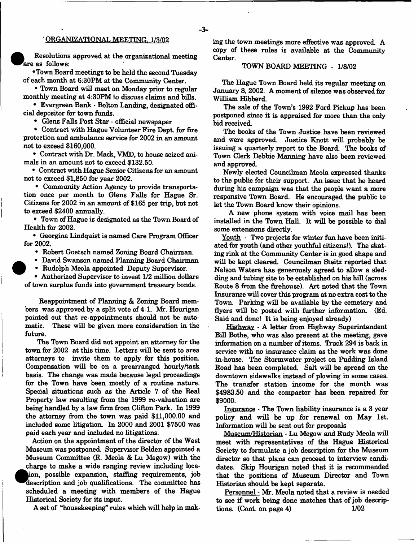### **' ORGANIZATIONAL MEETING. 1/3/02**

**Resolutions approved at the organizational meeting Fare as follows:**

**•Town Board meetings to be held the second Tuesday of each month at 6:30PM atthe Community Center.**

**• Town Board will meet on Monday prior to regular monthly meeting at 4:30PM to discuss claims and bills.**

**• Evergreen Bank \* Bolton Landing, designated official depositor for town funds.**

**• Glens Falls Post Star - official newspaper**

**• Contract with Hague Volunteer Fire Dept, for fire protection and ambulance service for 2002 in an amount not to exceed \$160,000.**

**• Contract with Dr. Mack, VMD, to house seized animals in an amount not to exceed \$132.50.**

**• Contract with Hague Senior Citizens for an amount not to exceed \$1,850 for year 2002.**

**• Community Action Agency to provide transportation once per month to Glens Falls for Hague Sr. Citizens for 2002 in an amount of \$165 per trip, but not to exceed \$2400 annually.**

**• Town of Hague is designated as the Town Board of Health for 2002.**

**• Georgina Lindquist is named Care Program Officer for 2002.**

**• Robert Goetsch named Zoning Board Chairman.**

**• David Swanson named Planning Board Chairman**

**• Rudolph Meola appointed Deputy Supervisor.**

**• Authorized Supervisor to invest 1/2 million dollars of town surplus funds into government treasury bonds.**

**Reappointment of Planning & Zoning Board members was approved by a split vote of 4-1. Mr. Hourigan pointed out that re-appointments should not be automatic. These will be given more consideration in the future.**

**The Town Board did not appoint an attorney for the** town for 2002 at this time. Letters will be sent to area **attorneys to invite them to apply for this position. Compensation will be on a prearranged hourly/task basis. The change was made because legal proceedings for the Town have been mostly of a routine nature. Special situations such as the Article 7 of the Real Property law resulting from the 1999 re-valuation are being handled by a law firm from Clifton Park. In 1999 the attorney from the town was paid \$11,000.00 and included some litigation In 2000 and 2001 \$7500 was paid each year and included no litigations.**

**Action on the appointment of the director of the West Museum was postponed. Supervisor Belden appointed a Museum Committee (R. Meola & Lu Megow) with the charge to make a wide ranging review including location, possible expansion, staffing requirements, job description and job qualifications. The committee has scheduled a meeting with members of the Hague Historical Society for its input.**

**A set of "housekeeping" rules which will help in mak-**

**ing the town meetings more effective was approved. A** copy of these rules is available at the Community **Center.**

#### **TOWN BOARD MEETING -** 1/8/02

**The Hague Town Board held its regular meeting on January** 8, 2002. **A moment of silence was observed for William Hibberd.**

**The sale of the Town's** 1992 **Ford Pickup has been postponed since it is appraised for more than the only bid received.**

**The books of the Town Justice have been reviewed and were approved. Justice Knott will probably be issuing a quarterly report to the Board. The books of Town Clerk Debbie Manning have also been reviewed and approved.**

**Newly elected Councilman Meola expressed thanks to the public for their support. An issue that he heard during his campaign was that the people want a more responsive Town Board. He encouraged the public to let the Town Board know their opinions.**

**A new phone system with voice mail has been installed in the Town Hall. It will be possible to dial some extensions directly.**

**Youth - Two projects for winter fun have been initiated for youth (and other youthful citizens!). The skating rink at the Community Center is in good shape and will be kept cleared. Councilman Steitz reported that Nelson Waterg has generously agreed to allow a sledding and tubing site to be established on his hill (across Route 8 from the firehouse). Art noted that the Town Insurance will cover this program at no extra cost to the Town. Parking will be available by the cemetery and flyers will be posted with further information. (Ed. Said and done! It is being enjoyed already)**

**Highway - A letter from Highway Superintendent Bill Bothe, who was also present at the meeting, gave information on a number of items. Truck** 294 **is back in service with no insurance claim as the work was done in-house. The Storm water project on Pudding Island Road has been completed. Salt will be spread on the downtown sidewalks instead of plowing in some cases. The transfer station income for the month was** \$4983.50 **and the compactor has been repaired for** \$9000.

Insurance **- The Town liability insurance is a** 3 **year policy and will be up for renewal on May 1st. Information will be sent out for proposals**

**Museum/Historian - Lu Megow and Rudy Meola will meet with representatives of the Hague Historical Society to formulate a job description for the Museum director so that plans can proceed to interview candidates. Skip Hourigan noted that it is recommended that the positions of Museum Director and Town Historian should be kept separate.**

**Personnel - Mr. Meola noted that a review is needed to see if work being done matches that of job descriptions. (Cont. on page** 4) 1/02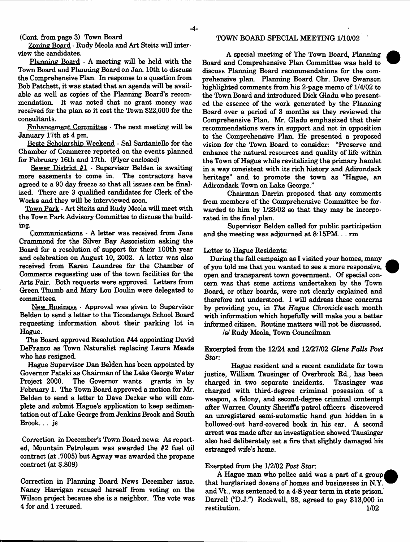**(Cont. from page 3) Town Board**

**Zoning Board - Rudy Meola and Art Steitz will interview the candidates.**

**Planning Board - A meeting will be held with the Town Board and Planning Board on Jan. 10th to discuss the Comprehensive Plan. In response to a question from Bob Patchett, it was stated that an agenda will be available as well as copies of the Planning Board's recommendation. It was noted that no grant money was received for the plan so it cost the Town \$22,000 for the consultants.**

**Enhancement** Committee **- The next meeting will be January 17th at 4 pm.**

**Beste Scholarship Weekend - Sal Santaniello for the Chamber of Commerce reported on the events planned for February 16th and 17th. (Flyer enclosed)**

**Sewer District #1 - Supervisor Belden is awaiting more easements to come in. The contractors have agreed to a 90 day freeze so that all issues can be finalized. There are 3 qualified candidates for Clerk of the Works and they will be interviewed soon.**

**Town Park - Art Steitz and Rudy Meola will meet with the Town Park Advisory Committee to discuss the building.**

Communications - A letter was received from Jane **Crammond for the Silver Bay Association asking the Board for a resolution of support for their 100th year and celebration on August 10, 2002. A letter was also received from Karen Laundree for the Chamber of Commerce requesting use of the town facilities for the Arts Fair. Both requests were approved. Letters from Green Thumb and Mary Lou Doulin were delegated to committees.**

**New Business - Approval was given to Supervisor Belden to send a letter to the Ticonderoga School Board requesting information about their parking lot in Hague.**

**The Board approved Resolution #44 appointing David DeFranco as Town Naturalist replacing Laura Meade who has resigned.**

**Hague Supervisor Dan Belden has been appointed by Governor Pataki as Chairman of the Lake George Water Project 2000. The Governor wants grants in by February 1. The Town Board approved a motion for Mr. Belden to send a letter to Dave Decker who will complete and submit Hague's application to keep sedimentation out of Lake George from Jenkins Brook and South Brook... js**

**Correction in December's Town Board news: As reported, Mountain Petroleum was awarded the #2 fuel oil contract (at .7005) but Agway was awarded the propane contract (at \$.809)**

**Correction in Planning Board News December issue. Nancy Harrigan recused herself from voting on the Wilson project because she is a neighbor. The vote was 4 for and 1 recused.**

#### **TOWN BOARD SPECIAL MEETING 1/10/02 \***

**A special meeting of The Town Board, Planning Board and Comprehensive Plan Committee was held to discuss Planning Board** recommendations **for the comprehensive plan. Planning Board Chr. Dave Swanson highlighted comments from his 2-page memo of 1/4/02 to the Town Board and introduced Dick Gladu who presented the essence of the work generated by the Planning Board over a period of 3 months as they reviewed the Comprehensive Plan. Mr. Gladu emphasized that their recommendations were in support and not in opposition to the Comprehensive Plan. He presented a proposed vision for the Town Board to consider: "Preserve and enhance the natural resources and quality of life within the Town of Hague while revitalizing the primary hamlet in a way consistent with its rich history and Adirondack heritage" and to promote the town as "Hague, an Adirondack Town on Lake George."**

**Chairman Darrin proposed that any comments from members of the Comprehensive Committee be forwarded to him by 1/23/02 so that they may be incorporated in the final plan.**

**Supervisor Belden called for public participation and the meeting was adjourned at 8:15PM.. . rm**

#### **Letter to Hague Residents:**

**During the fall campaign as I visited your homes, many of you told me that you wanted to see a more responsive, open and transparent town government. Of special concern was that some actions undertaken by the Town Board, or other boards, were not clearly explained and therefore not understood. I will address these concerns by providing you, in** *The Hague Chronicle* **each month with information which hopefully will** make **you a better informed citizen. Routine matters will not be discussed.**

*Is!* **Rudy Meola, Town Councilman**

**Excerpted from the 12/24 and 12/27/02** *Glens Falls Post Star:*

**Hague resident and a recent candidate for town justice, William Tausinger of Overbrook Rd., has been charged in two separate incidents. Tausinger was charged with third-degree criminal posession of a weapon, a felony, and second-degree criminal contempt after Warren County Sheriffs patrol officers discovered an unregistered semi-automatic hand gun hidden in a hollowed-out hard-covered book in his car. A second arrest was made after an investigation showed Tausinger also had deliberately set a fire that slightly damaged his estranged wife's home.**

#### **Exerpted from the 1/2/02** *Post Star***:**

**A Hague man who police said was a part of a group that burglarized dozens of homes and businesses in N.Y. and Vt., was sentenced to a 4-8 year term in state prison. Darrell ("D.J.") Rockwell, 33, agreed to pay \$13,000 in restitution 1/02**

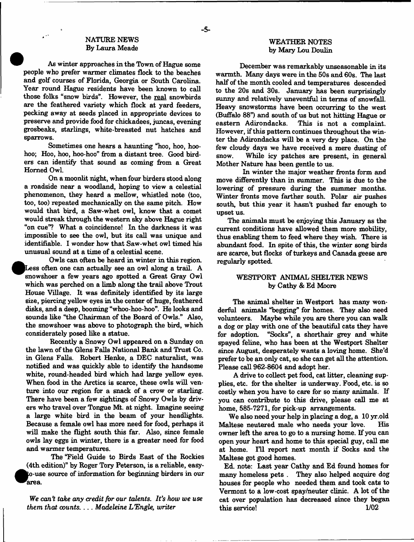### **NATURE NEWS By Laura Meade**

**As winter approaches in the Town of Hague some people who prefer warmer climates flock to the beaches and golf courses of Florida, Georgia or South Carolina. Year round Hague residents have been known to call those folks "snow birds". However, the real snowbirds are the feathered variety which flock at yard feeders, pecking away at seeds placed in appropriate devices to preserve and provide food for chickadees, juncas, evening grosbeaks, starlings, white-breasted nut hatches and sparrows.**

**Sometimes one hears a haunting "hoo, hoo, hoohoo; Hoo, hoo, hoo-hoo" from a distant tree. Good bird**ers can identify that sound as coming from a Great **Homed Owl.**

**On a moonlit night, when four birders stood along a roadside near a woodland, hoping to view a celestial phenomenon, they heard a mellow, whistled note (too, too, too) repeated mechanically on the same pitch. How would that bird, a Saw-whet owl, know that a comet would streak through the western sky above Hague right "on cue"? What a coincidence! In the darkness it was impossible to see the owl, but its call was unique and identifiable. I wonder how that Saw-whet owl timed his unusual sound at a time of a celestial scene.**

**Owls can often be heard in winter in this region,** Less often one can actually see an owl along a trail. A snowshoer a few years ago spotted a Great Gray Owl **which was perched on a limb along the trail above Trout House Village. It was definitely identified by its large size, piercing yellow eyes in the center of huge, feathered disks, and a deep, booming "whoo-hoo-hoo". He looks and sounds like "the Chairman of the Board of Owls." Also, the snowshoer was above to photograph the bird, which considerately posed like a statue.**

**Recently a Snowy Owl appeared on a Sunday on the lawn of the Glens Falls National Bank and Trust Co. in Glens Falls. Robert Henke, a DEC naturalist, was notified and was quickly able to identify the handsome white, round-headed bird which had large yellow eyes. When food in the Arctics is scarce, these owls will venture into our region for a snack of a crow or starling. There have been a few sightings of Snowy Owls by drivers who travel over Tongue Mt, at night. Imagine seeing a large white bird in the beam of your headlights. Because a female owl has more need for food, perhaps it will make the flight south this far. Also, since female owls lay eggs in winter, there is a greater need for food and warmer temperatures.**

**The "Field Guide to Birds East of the Rockies (4th edition)" by Roger Tory Peterson, is a reliable, easy- -use source of information for beginning birders in our area**

*We can't take any credit for our talents***.** *It's how we use them that* **counts. . . .** *Madeleine L 'Engle, writer*

### **WEATHER NOTES by Mary Lou Doulin**

**December was remarkably unseasonable in its warmth. Many days were in the 50s and 60s. The last half of the month cooled and temperatures descended to the 20s and 30s. January has been surprisingly sunny and relatively uneventful in terms of snowfall. Heavy snowstorms have been occurring to the west (Buffalo 88") and south of us but not hitting Hague or** This is not a complaint. **However, if this pattern continues throughout the winter the Adirondacks will be a very dry place. On the few cloudy days we have received a mere dusting of snow. While icy patches are present, in general Mother Nature has been gentle to us.**

**In winter the major weather fronts form and move differently than in summer. This is due to the lowering of pressure during the summer months. Winter fronts move farther south. Polar air pushes south, but this year it hasn't pushed far enough to upset us.**

**The animals must be enjoying this January as the current conditions have allowed them more mobility, thus enabling them to feed where they wish. There is abundant food. In spite of this, the winter song birds are scarce, but flocks of turkeys and Canada geese are regularly spotted.**

### **WESTPORT ANIMAL SHELTER NEWS by Cathy & Ed Moore**

**The animal shelter in Westport has many won**derful animals "begging" for homes. They also need **volunteers. Maybe while you are there you can walk a dog or play with one of the beautiful cats they have for adoption. "Socks", a shorthair grey and white spayed feline, who has been at the Westport Shelter since August, desperately wants a loving home. She'd prefer to be an only cat, so she can get all the attention. Please call 962-8604 and adopt her.**

**A drive to collect pet food, cat litter, cleaning supplies, etc. for the shelter is underway. Food, etc. is so costly when you have to care for so many animals. If you can contribute to this drive, please call me at home, 585-7271, for pick-up arrangements.**

**We also need your help in placing a dog, a 10 yr.old Maltese neutered male who needs your love. His owner left the area to go to a nursing home. If you can open your heart and home to this special guy, call me at home. Ill report next month if Socks and the Maltese got good homes.**

**Ed. note: Last year Cathy and Ed found homes for many homeless pets . They also helped acquire dog houses for people who needed them and took cats to Vermont to a low-cost spay/neuter clinic. A lot of the cat over population has decreased since they began this service! 1/02**

- **5**-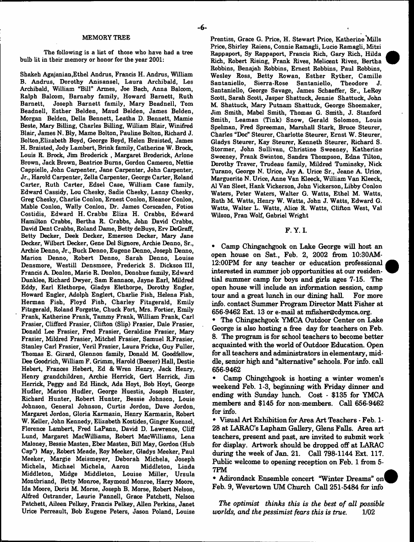-6-

MEMORY TREE

The following is a list of those who have had a tree bulb lit in their memory or honor for the year 2001:

Shakeh Agajanian,Ethel Andrus, Francis H. Andrus, William B. Andrus, Dorothy Anisansel, Laura Archibald, Les Archibald, William "Bill" Armes, Joe Bach, Anna Balcom, Ralph Balcom, Baraaby family, Howard Barnett, Ruth Barnett, Joseph Barnett family, Mary Beadnell, Tom Beadnell, Esther Belden, Maud Belden, James Belden, Morgan Belden, Della Bennett, Leatha D. Bennett, Mamie Beste, Mary Billing, Charles Billing, William Blair, Winifred Blair, James N. Bly, Marne Bolton, Pauline Bolton, Richard J. Bolton,Elizabeth Boyd, George Boyd, Helen Braisted, James H. Braisted, Jody Lambert, Brink family, Catherine W. Brock, Louis R. Brock, Jim Broderick , Margaret Broderick, Arlone Brown, Jack Brown, Beatrice Bums, Gordon Cameron, Nettie Cappiello, John Carpenter, Jane Carpenter, John Carpenter, Jr., Harold Carpenter, Zella Carpenter, George Carter, Roland Carter, Ruth Carter, Edsel Case, William Case family, Edward Cassidy, Lou Chesky, Sadie Chesky, Lanny Chesky, Greg Chesky, Charlie Conlon, Ernest Conlon, Eleanor Conlon, Mable Conlon, Wally Conlon, Dr. James Corscaden, Fotios Costidis, Edward H. Crabbs Eliza H. Crabbs, Edward Hamilton Crabbs, Bertha R. Crabbs, John David Crabbs, David Dent Crabbs, Roland Dame, Betty deBuys, Erv DeGraff, Betty Decker, Deek Decker, Emerson Decker, Mary Jane Decker, Wilbert Decker, Gene Del Signore, Archie Denno, Sr., Archie Denno, Jr., Buck Denno, Eugene Denno, Joseph Denno, Marion Denno, Robert Denno, Sarah Denno, Louise Densmore, Westill Densmore, Frederick S. Dickson III, Francis A. Donlon, Marie R. Donlon, Donohue family, Edward Dunklee, Richard Dwyer, Sam Eannace, Jayne Earl, Mildred Eddy, Earl Elethorpe, Gladys Elethorpe, Dorothy Engler, Howard Engler, Adolph Englert, Charlie Fish, Helena Fish, Herman Fish, Floyd Fish, Charley Fitzgerald, Emily Fitzgerald, Roland Forgette, Chuck Fort, Mrs. Fortier, Emily Frank, Katherine Frank, Tammy Frank, William Frank, Carl Frasier, Clifford Frasier, Clifton (Slip) Frasier, Dale Frasier, Donald Lee Frasier, Fred Frasier, Geraldine Frasier, Mary Frasier, Mildred Frasier, Mitchel Frasier, Samuel R.Frasier, Stanley Carl Frasier, Veril Frasier, Laura Fricke, Guy Fuller, Thomas E. Girard, Glennon family, Donald M. Goodfellow, Dee Goodrich, William F. Grimm, Harold (Beezer) Hall, Destie Hebert, Frances Hebert, Ed & Wren Henry, Jack Henry, Henry grandchildren, Archie Herrick, Gert Herrick, Jim Herrick, Peggy and Ed Hinck, Ada Hoyt, Bob Hoyt, George Hudler, Marion Hudler, George Huestis, Joseph Hunter, Richard Hunter, Robert Hunter, Bessie Johnson, Louie Johnson, General Johnson, Curtis Jordon, Dave Jordon, Margaret Jordon, Gloria Karmazin, Henry Karmazin, Robert W. Keller, John Kennedy, Elizabeth Kostides, Ginger Kuenzel, Florence Lambert, Fred LaPann, David D. Lawrence, Cliff Lund, Margaret MacWilliams, Robert MacWilliams, Lena Maloney, Bessie Masten, Eber Masten, Bill May, Gordon (Hub Cap") May, Robert Meade, Roy Meeker, Gladys Meeker, Paul Meeker, Margie Meismeyer, Deborah Michela, Joseph Michela, Michael Michela, Aaron Middleton, Linda Middleton, Midge Middleton, Louise Miller, Ursula Montbriand, Betty Monroe, Raymond Monroe, Harry Moore, Ida Moore, Doris M. Morse, Joseph B. Morse, Robert Nelson, Alfred Ostrander, Laurie Pannell, Grace Patchett, Nelson Patchett, Aileen Pelkey, Francis Pelkey, Allen Perkins, Janet Urice Perreault, Bob Eugene Peters, Jason Poland, Louise

Prentiss, Grace G. Price, H. Stewart Price, Katherine'Mills Price, Shirley Raiens, Connie Ramagli, Lucio Ramagli, Mitzi Rappaport, Sy Rappaport, Francis Rich, Gary Rich, Hilda Rich, Robert Rising, Frank Rives, Melicent Rives, Bertha Robbins, Benajah Robbins, Ernest Robbins, Paul Robbins, Wesley Ross, Betty Rowan, Esther Ryther, Camille Santaniello, Sierra-Rose Santaniello, Theodore J. Santaniello, George Savage, James Schaeffer, Sr., LeRoy Scott, Sarah Scott, Jasper Shattuck, Jennie Shattuck, John M Shattuck, Mary Putnam Shattuck, George Shoemaker, Jim Smith, Mabel Smith, Thomas G. Smith, J. Stanford Smith, Leaman (Tink) Snow, Gerald Solomon, Louis Spelman, Fred Spreeman, Marshall Stark, Bruce Steurer, Charles "Doc" Steurer, Charlotte Steurer, Ernst W. Steurer, Gladys Steurer, Kay Steurer, Kenneth Steurer, Richard S. Stormer, John Sullivan, Christine Sweeney, Katherine Sweeney, Frank Swinton, Sandra Thompson, Edna Tilton, Dorothy Traver, Trudeau family, Mildred Tuminsky, Nick Turano, George N. Urice, Jay A. Urice Sr., Jeane A. Urice, Marguerite N. Urice, Anne Van Kleeck, William Van Kleeck, A1 Van Sleet, Hank Vickerson, John Vickerson, Libby Conlon Waters, Peter Waters, Walter G. Watts, Ethel M. Watts, Ruth M. Watts, Henry W. Watts, John J. Watts, Edward G. Watts, Walter L. Watts, Alice R. Watts, Clifton West, Val Wilson, Fran Wolf, Gabriel Wright

**F. Y. I.**

**• Camp Chingachgook on Lake George will host an open house on Sat., Feb. 2, 2002 from 10:30AM-12:00PM for any teacher or education professional interested in summer job opportunities at our residential summer camp for boys and girls ages 7-15. The open house will include an information session, camp tour and a great lunch in our dining hall. For more info, contact Summer Program Director Matt Fisher at 656-9462 Ext. 13 or e-mail at [mfrsher@cdymca.oig.](mailto:mfrsher@cdymca.oig)**

**• The Chingachgook YMCA Outdoor Center on Lake George is also hosting a free day for teachers on Feb. 8. The program is for school teachers to become better acquainted with the world of Outdoor Education. Open for all teachers and administrators in elementary, middle, senior high and "alternative" schools. For info, call 656-9462**

**• Camp Chingchgook is hosting a winter women's weekend Feb. 1-3, beginning with Friday dinner and ending with Sunday lunch. Cost - \$135 for YMCA members and \$145 for non-members. Call 656-9462 for info.**

**• Visual Art Exhibition for Area Art Teachers - Feb. 1- 28 at LARAC's Laphaxn Gallery, Glens Falls. Area art teachers, present and past, are invited to submit work for display. Artwork should be dropped off at LARAC during the week of Jan. 21. Call 798-1144 Ext. 117. Public welcome to opening reception on Feb. 1 from 5- 7PM**

**• Adirondack Ensemble concert "Winter Dreams" on Feb. 9, Wevertown UM Church Call 251-5484 for info**

*The optimist thinks this is the best of all possible worlds***,** *and the pessimist fears this is true.* **1/02**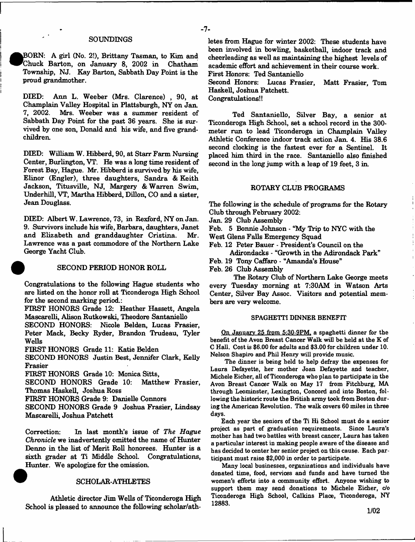### **SOUNDINGS**

**e BORN: A girl (No. 2!), Brittany Tasman, to Kim and Chuck Barton, on January 8, 2002 in Chatham Township, NJ. Kay Barton, Sabbath Day Point is the proud grandmother.**

**DIED: Ann L. Weeber (Mrs. Clarence) , 90, at Champlain Valley Hospital in Plattsburgh, NY on Jan. 7, 2002. Mrs. Weeber was a summer resident of Sabbath Day Point for the past 36 years. She is survived by one son, Donald and his wife, and five grandchildren.**

**DIED: William W. Hibberd, 90, at Starr Farm Nursing Center, Burlington, VT. He was a long time resident of Forest Bay, Hague. Mr. Hibberd is survived by his wife, Elinor (Engler), three daughters, Sandra & Keith Jackson, Titusville, NJ, Margery & Warren Swim, Underhill, VT, Martha Hibberd, Dillon, CO and a sister, Jean Douglass.**

**DIED: Albert W. Lawrence, 73, in Rexford, NY on Jan. 9. Survivors include his wife, Barbara, daughters, Janet** and Elizabeth and granddaughter Cristina. **Lawrence was a past commodore of the Northern Lake George Yacht Club.**



#### **SECOND PERIOD HONOR ROLL**

**Congratulations to the following Hague students who are listed on the honor roll at Ticonderoga High School** for the second marking period.:

**FIRST HONORS Grade 12: Heather Hassett, Angela Mascarelli, Alison Rutkowski, Theodore Santaniello**

**SECOND HONORS: Nicole Belden, Lucas Frasier, Peter Mack, Becky Ryder, Brandon Trudeau, Tyler Wells**

**FIRST HONORS Grade 11: Katie Belden**

**SECOND HONORS Justin Best, Jennifer Clark, Kelly Frasier**

**FIRST HONORS Grade 10: Monica Sitts,**

**SECOND HONORS Grade 10: Matthew Frasier, Thomas Haskell, Joshua Ross**

**FIRST HONORS Grade 9: Danielle Connors**

**SECOND HONORS Grade 9 Joshua Frasier, Lindsay Mascarelli, Joshua Patchett**

**Correction: In last month's issue of** *The Hague Chronicle* **we inadvertently omitted the name of Hunter Denno in the list of Merit Roll honorees. Hunter is a sixth grader at Ti Middle School. Congratulations, Hunter. We apologize for the omission.**

#### **SCHOLAR-ATHLETES**

**Athletic director Jim Wells of Ticonderoga High School is pleased to announce the following scholar/ath-**

- **7**-

**academic effort and achievement in their course work. First Honors: Ted Santaniello Second Honors: Lucas Frasier, Matt Frasier, Tom**

**Haskell, Joshua Patchett. Congratulations!!**

**Ted Santaniello, Silver Bay, a senior at**

**Ticonderoga High School, set a school record in the 300 meter run to lead Ticonderoga in Champlain Valley Athletic Conference indoor track action Jan. 4. His 38.6 second clocking is the fastest ever for a Sentinel. It placed him third in the race. Santaniello also finished second in the long jump with a leap of 19 feet, 3 in.**

#### **ROTARY CLUB PROGRAMS**

**The following is the schedule of programs for the Rotary Club through February 2002:**

**Jan. 29 Club Assembly**

**Feb. 5 Bonnie Johnson - "My Trip to NYC with the**

**West Glens Falls Emergency Squad**

**Feb. 12 Peter Bauer - President's Council on the Adirondacks - "Growth in the Adirondack Park"**

**Feb. 19 Tony Caffaro - "Amanda's House"**

**Feb. 26 Club Assembly**

**The Rotary Club of Northern Lake George meets every Tuesday morning at 7:30AM in Watson Arts Center, Silver Bay Assoc. Visitors and potential members are very welcome.**

#### SPAGHETTI DINNER BENEFIT

On January 25 from 5:30-9PM. a spaghetti dinner for the benefit of the Avon Breast Cancer Walk will be held at the K of C Hall. Cost is \$6.00 for adults and \$3.00 for children under 10. Nelson Shapiro and Phil Henry will provide music.

The dinner is being held to help defray the expenses for Laura Defayette, her mother Joan Defayette and teacher, Michele Eicher, all of Ticonderoga who plan to participate in the Avon Breast Cancer Walk on May 17 from Fitchburg, MA through Leominster, Lexington, Concord and into Boston, following the historic route the British army took from Boston during the American Revolution. The walk covers 60 miles in three days.

Each year the seniors of the Ti Hi School must do a senior project as part of graduation requirements. Since Laura's mother has had two battles with breast cancer, Laura has taken a particular interest in making people aware of the disease and has decided to center her senior project on this cause. Each participant must raise \$2,000 in order to participate.

Many local businesses, organizations and individuals have donated time, food, services and funds and have turned the women's efforts into a community effort. Anyone wishing to support them may send donations to Michele Eicher, *do* Ticonderoga High School, Calkins Plaoe, Ticonderoga, NY 12883.